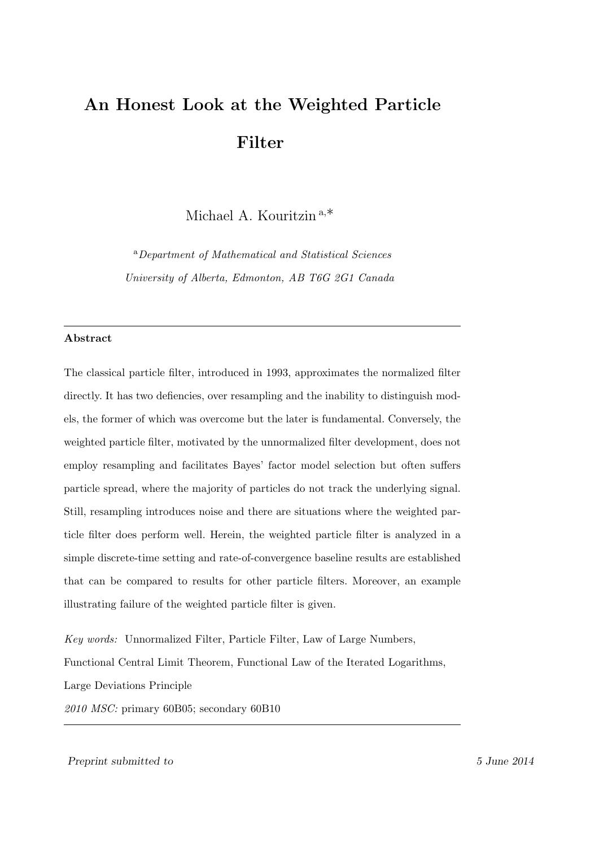# An Honest Look at the Weighted Particle Filter

Michael A. Kouritzin <sup>a</sup>,∗

<sup>a</sup>Department of Mathematical and Statistical Sciences University of Alberta, Edmonton, AB T6G 2G1 Canada

## Abstract

The classical particle filter, introduced in 1993, approximates the normalized filter directly. It has two defiencies, over resampling and the inability to distinguish models, the former of which was overcome but the later is fundamental. Conversely, the weighted particle filter, motivated by the unnormalized filter development, does not employ resampling and facilitates Bayes' factor model selection but often suffers particle spread, where the majority of particles do not track the underlying signal. Still, resampling introduces noise and there are situations where the weighted particle filter does perform well. Herein, the weighted particle filter is analyzed in a simple discrete-time setting and rate-of-convergence baseline results are established that can be compared to results for other particle filters. Moreover, an example illustrating failure of the weighted particle filter is given.

Key words: Unnormalized Filter, Particle Filter, Law of Large Numbers, Functional Central Limit Theorem, Functional Law of the Iterated Logarithms, Large Deviations Principle 2010 MSC: primary 60B05; secondary 60B10

Preprint submitted to 5 June 2014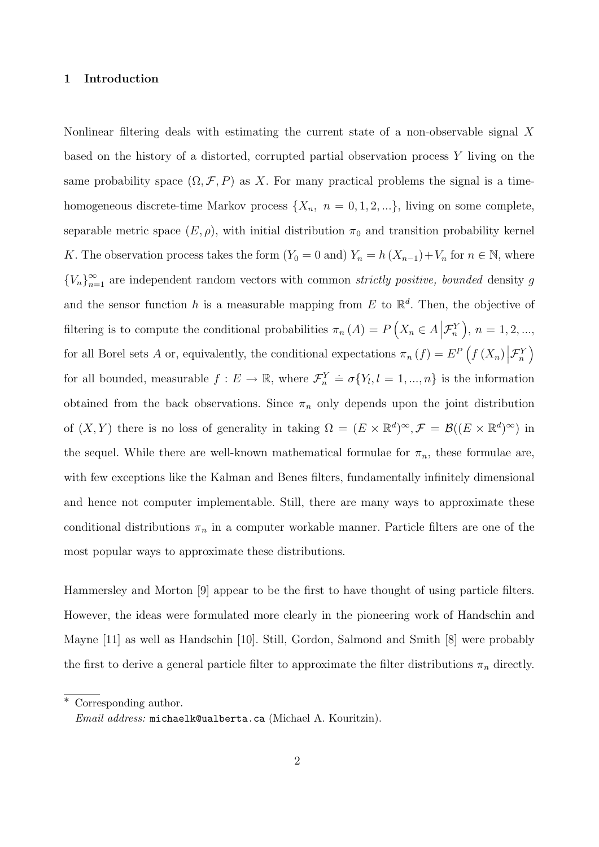## 1 Introduction

Nonlinear filtering deals with estimating the current state of a non-observable signal X based on the history of a distorted, corrupted partial observation process Y living on the same probability space  $(\Omega, \mathcal{F}, P)$  as X. For many practical problems the signal is a timehomogeneous discrete-time Markov process  $\{X_n, n = 0, 1, 2, ...\}$ , living on some complete, separable metric space  $(E, \rho)$ , with initial distribution  $\pi_0$  and transition probability kernel K. The observation process takes the form  $(Y_0 = 0 \text{ and}) Y_n = h(X_{n-1}) + V_n$  for  $n \in \mathbb{N}$ , where  ${V_n}_{n=1}^{\infty}$  are independent random vectors with common *strictly positive, bounded* density g and the sensor function h is a measurable mapping from E to  $\mathbb{R}^d$ . Then, the objective of filtering is to compute the conditional probabilities  $\pi_n(A) = P\left(X_n \in A \,|\mathcal{F}_n^Y\right), n = 1, 2, ...,$ for all Borel sets A or, equivalently, the conditional expectations  $\pi_n(f) = E^P(f(X_n | \mathcal{F}_n^Y))$ for all bounded, measurable  $f: E \to \mathbb{R}$ , where  $\mathcal{F}_n^Y \doteq \sigma\{Y_l, l = 1, ..., n\}$  is the information obtained from the back observations. Since  $\pi_n$  only depends upon the joint distribution of  $(X, Y)$  there is no loss of generality in taking  $\Omega = (E \times \mathbb{R}^d)^{\infty}, \mathcal{F} = \mathcal{B}((E \times \mathbb{R}^d)^{\infty})$  in the sequel. While there are well-known mathematical formulae for  $\pi_n$ , these formulae are, with few exceptions like the Kalman and Benes filters, fundamentally infinitely dimensional and hence not computer implementable. Still, there are many ways to approximate these conditional distributions  $\pi_n$  in a computer workable manner. Particle filters are one of the most popular ways to approximate these distributions.

Hammersley and Morton [9] appear to be the first to have thought of using particle filters. However, the ideas were formulated more clearly in the pioneering work of Handschin and Mayne [11] as well as Handschin [10]. Still, Gordon, Salmond and Smith [8] were probably the first to derive a general particle filter to approximate the filter distributions  $\pi_n$  directly.

<sup>∗</sup> Corresponding author.

Email address: michaelk@ualberta.ca (Michael A. Kouritzin).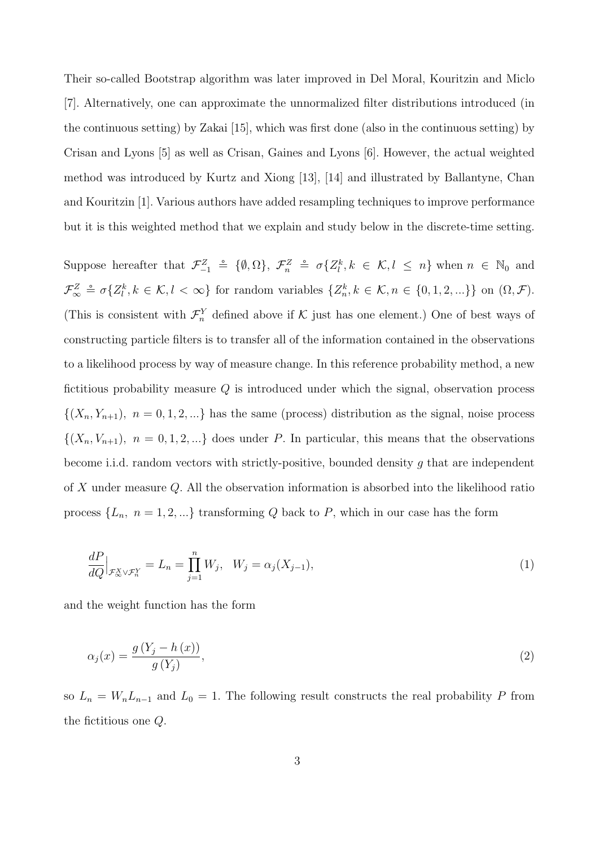Their so-called Bootstrap algorithm was later improved in Del Moral, Kouritzin and Miclo [7]. Alternatively, one can approximate the unnormalized filter distributions introduced (in the continuous setting) by Zakai [15], which was first done (also in the continuous setting) by Crisan and Lyons [5] as well as Crisan, Gaines and Lyons [6]. However, the actual weighted method was introduced by Kurtz and Xiong [13], [14] and illustrated by Ballantyne, Chan and Kouritzin [1]. Various authors have added resampling techniques to improve performance but it is this weighted method that we explain and study below in the discrete-time setting.

Suppose hereafter that  $\mathcal{F}_{-1}^Z \triangleq \{0, \Omega\}, \ \mathcal{F}_{n}^Z \triangleq \sigma\{Z_l^k, k \in \mathcal{K}, l \leq n\}$  when  $n \in \mathbb{N}_0$  and  $\mathcal{F}_{\infty}^Z \doteq \sigma\{Z_l^k, k \in \mathcal{K}, l < \infty\}$  for random variables  $\{Z_n^k, k \in \mathcal{K}, n \in \{0, 1, 2, ...\}\}$  on  $(\Omega, \mathcal{F})$ . (This is consistent with  $\mathcal{F}_n^Y$  defined above if K just has one element.) One of best ways of constructing particle filters is to transfer all of the information contained in the observations to a likelihood process by way of measure change. In this reference probability method, a new fictitious probability measure  $Q$  is introduced under which the signal, observation process  $\{(X_n, Y_{n+1}), n = 0, 1, 2, \ldots\}$  has the same (process) distribution as the signal, noise process  $\{(X_n, V_{n+1}), n = 0, 1, 2, ...\}$  does under P. In particular, this means that the observations become i.i.d. random vectors with strictly-positive, bounded density g that are independent of X under measure Q. All the observation information is absorbed into the likelihood ratio process  $\{L_n, n = 1, 2, ...\}$  transforming Q back to P, which in our case has the form

$$
\frac{dP}{dQ}\Big|_{\mathcal{F}_{\infty}^X \vee \mathcal{F}_n^Y} = L_n = \prod_{j=1}^n W_j, \quad W_j = \alpha_j(X_{j-1}),\tag{1}
$$

and the weight function has the form

$$
\alpha_j(x) = \frac{g(Y_j - h(x))}{g(Y_j)},\tag{2}
$$

so  $L_n = W_n L_{n-1}$  and  $L_0 = 1$ . The following result constructs the real probability P from the fictitious one Q.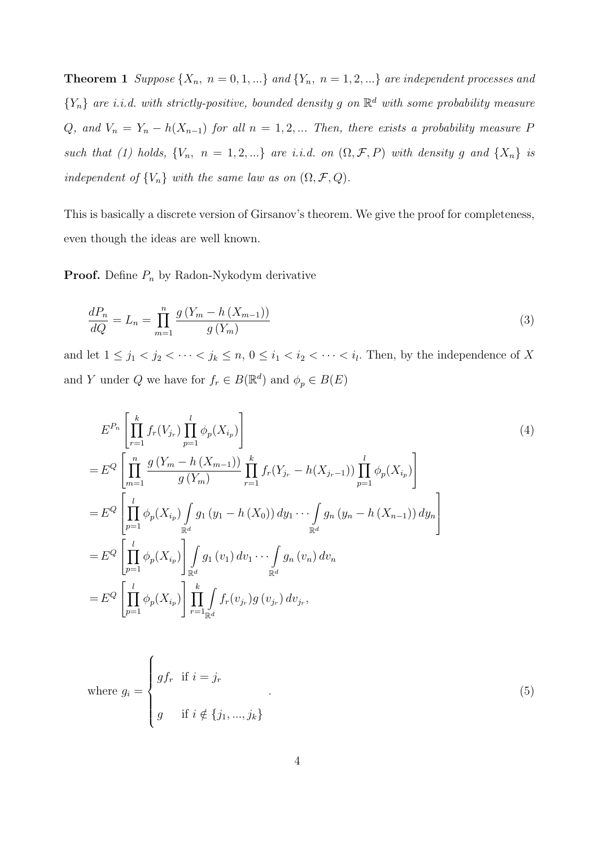**Theorem 1** Suppose  $\{X_n, n = 0, 1, ...\}$  and  $\{Y_n, n = 1, 2, ...\}$  are independent processes and  ${Y_n}$  are i.i.d. with strictly-positive, bounded density g on  $\mathbb{R}^d$  with some probability measure Q, and  $V_n = Y_n - h(X_{n-1})$  for all  $n = 1, 2, ...$  Then, there exists a probability measure P such that (1) holds,  $\{V_n, n = 1, 2, ...\}$  are i.i.d. on  $(\Omega, \mathcal{F}, P)$  with density g and  $\{X_n\}$  is independent of  $\{V_n\}$  with the same law as on  $(\Omega, \mathcal{F}, Q)$ .

This is basically a discrete version of Girsanov's theorem. We give the proof for completeness, even though the ideas are well known.

**Proof.** Define  $P_n$  by Radon-Nykodym derivative

$$
\frac{dP_n}{dQ} = L_n = \prod_{m=1}^n \frac{g\left(Y_m - h\left(X_{m-1}\right)\right)}{g\left(Y_m\right)}\tag{3}
$$

and let  $1 \leq j_1 < j_2 < \cdots < j_k \leq n$ ,  $0 \leq i_1 < i_2 < \cdots < i_l$ . Then, by the independence of X and Y under Q we have for  $f_r \in B(\mathbb{R}^d)$  and  $\phi_p \in B(E)$ 

$$
E^{P_n}\left[\prod_{r=1}^k f_r(V_{j_r}) \prod_{p=1}^l \phi_p(X_{i_p})\right]
$$
\n
$$
= E^Q \left[\prod_{m=1}^n \frac{g(Y_m - h(X_{m-1}))}{g(Y_m)} \prod_{r=1}^k f_r(Y_{j_r} - h(X_{j_r-1})) \prod_{p=1}^l \phi_p(X_{i_p})\right]
$$
\n
$$
= E^Q \left[\prod_{p=1}^l \phi_p(X_{i_p}) \int_{\mathbb{R}^d} g_1(y_1 - h(X_0)) dy_1 \cdots \int_{\mathbb{R}^d} g_n(y_n - h(X_{n-1})) dy_n\right]
$$
\n
$$
= E^Q \left[\prod_{p=1}^l \phi_p(X_{i_p}) \right] \int_{\mathbb{R}^d} g_1(v_1) dv_1 \cdots \int_{\mathbb{R}^d} g_n(v_n) dv_n
$$
\n
$$
= E^Q \left[\prod_{p=1}^l \phi_p(X_{i_p}) \right] \prod_{r=1}^k \int_{\mathbb{R}^d} f_r(v_{j_r}) g(v_{j_r}) dv_{j_r},
$$
\n(4)

where 
$$
g_i = \begin{cases} gf_r & \text{if } i = j_r \\ g & \text{if } i \notin \{j_1, ..., j_k\} \end{cases}
$$
 (5)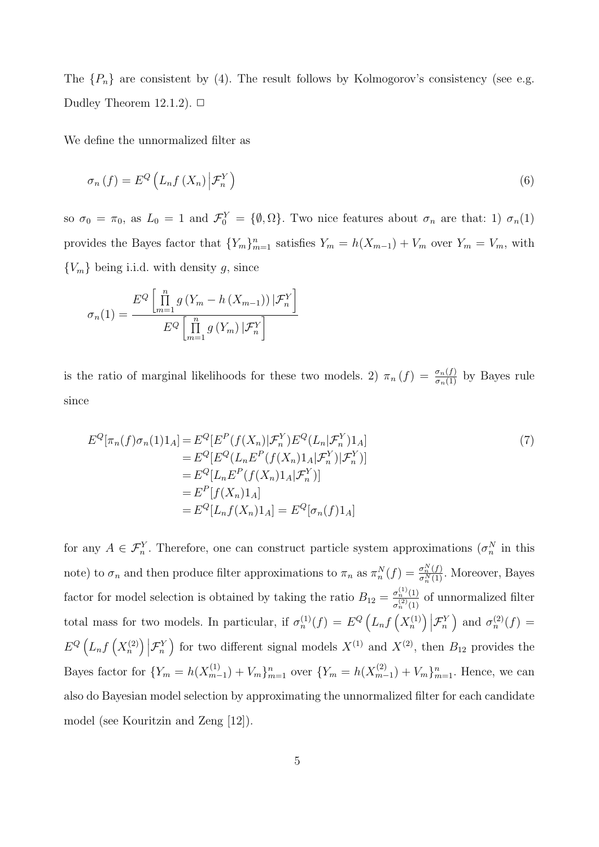The  $\{P_n\}$  are consistent by (4). The result follows by Kolmogorov's consistency (see e.g. Dudley Theorem 12.1.2).  $\Box$ 

We define the unnormalized filter as

$$
\sigma_n(f) = E^Q \left( L_n f \left( X_n \right) \Big| \mathcal{F}_n^Y \right) \tag{6}
$$

so  $\sigma_0 = \pi_0$ , as  $L_0 = 1$  and  $\mathcal{F}_0^Y = {\emptyset, \Omega}$ . Two nice features about  $\sigma_n$  are that: 1)  $\sigma_n(1)$ provides the Bayes factor that  ${Y_m}_{m=1}^n$  satisfies  $Y_m = h(X_{m-1}) + V_m$  over  $Y_m = V_m$ , with  ${V_m}$  being i.i.d. with density g, since

$$
\sigma_n(1) = \frac{E^Q \left[ \prod_{m=1}^n g\left(Y_m - h\left(X_{m-1}\right)\right) | \mathcal{F}_n^Y \right]}{E^Q \left[ \prod_{m=1}^n g\left(Y_m\right) | \mathcal{F}_n^Y \right]}
$$

is the ratio of marginal likelihoods for these two models. 2)  $\pi_n(f) = \frac{\sigma_n(f)}{\sigma_n(1)}$  by Bayes rule since

$$
E^{Q}[\pi_{n}(f)\sigma_{n}(1)1_{A}] = E^{Q}[E^{P}(f(X_{n})|\mathcal{F}_{n}^{Y})E^{Q}(L_{n}|\mathcal{F}_{n}^{Y})1_{A}]
$$
  
\n
$$
= E^{Q}[E^{Q}(L_{n}E^{P}(f(X_{n})1_{A}|\mathcal{F}_{n}^{Y})|\mathcal{F}_{n}^{Y})]
$$
  
\n
$$
= E^{Q}[L_{n}E^{P}(f(X_{n})1_{A}|\mathcal{F}_{n}^{Y})]
$$
  
\n
$$
= E^{P}[f(X_{n})1_{A}]
$$
  
\n
$$
= E^{Q}[L_{n}f(X_{n})1_{A}] = E^{Q}[\sigma_{n}(f)1_{A}]
$$
  
\n(7)

for any  $A \in \mathcal{F}_n^Y$ . Therefore, one can construct particle system approximations  $(\sigma_n^N)$  in this note) to  $\sigma_n$  and then produce filter approximations to  $\pi_n$  as  $\pi_n^N(f) = \frac{\sigma_n^N(f)}{\sigma_n^N(1)}$ . Moreover, Bayes factor for model selection is obtained by taking the ratio  $B_{12} = \frac{\sigma_n^{(1)}(1)}{\sigma_n^{(2)}(1)}$  $\frac{\sigma_n^{\gamma}(1)}{\sigma_n^{(2)}(1)}$  of unnormalized filter total mass for two models. In particular, if  $\sigma_n^{(1)}(f) = E^Q\left(L_nf\left(X_n^{(1)}\right)\big|\mathcal{F}_n^Y\right)$  and  $\sigma_n^{(2)}(f) =$  $E^{Q}\left(L_{n}f\left(X_{n}^{(2)}\right)\big| \mathcal{F}_{n}^{Y}\right)$  for two different signal models  $X^{(1)}$  and  $X^{(2)}$ , then  $B_{12}$  provides the Bayes factor for  ${Y_m = h(X_{m-}^{(1)})}$  $\{Y_{m-1}\}_{m=1}^{(1)}$  over  $\{Y_{m} = h(X_{m-1}^{(2)})\}$  $\binom{m-1}{m-1} + V_m \}_{m=1}^n$ . Hence, we can also do Bayesian model selection by approximating the unnormalized filter for each candidate model (see Kouritzin and Zeng [12]).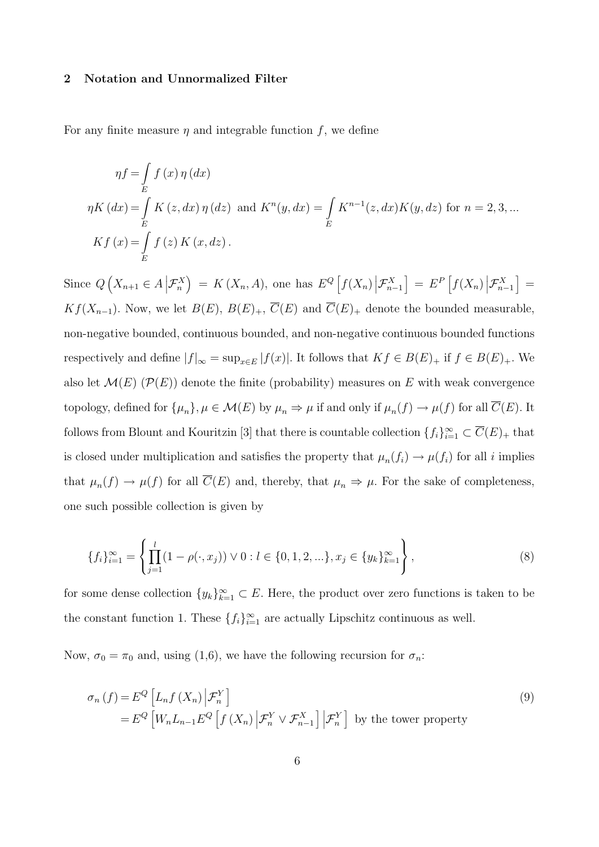#### 2 Notation and Unnormalized Filter

For any finite measure  $\eta$  and integrable function f, we define

$$
\eta f = \int_{E} f(x) \eta(dx)
$$
  
\n
$$
\eta K(dx) = \int_{E} K(z, dx) \eta(dx) \text{ and } K^{n}(y, dx) = \int_{E} K^{n-1}(z, dx) K(y, dz) \text{ for } n = 2, 3, ...
$$
  
\n
$$
Kf(x) = \int_{E} f(z) K(x, dz).
$$

Since  $Q\left(X_{n+1}\in A\Big|\mathcal{F}_{n}^{X}\right) = K\left(X_{n},A\right)$ , one has  $E^{Q}\left[f\left(X_{n}\right)\Big|\mathcal{F}_{n-1}^{X}\right] = E^{P}\left[f\left(X_{n}\right)\Big|\mathcal{F}_{n-1}^{X}\right] =$  $Kf(X_{n-1})$ . Now, we let  $B(E)$ ,  $B(E)_{+}$ ,  $\overline{C}(E)$  and  $\overline{C}(E)_{+}$  denote the bounded measurable, non-negative bounded, continuous bounded, and non-negative continuous bounded functions respectively and define  $|f|_{\infty} = \sup_{x \in E} |f(x)|$ . It follows that  $Kf \in B(E)_{+}$  if  $f \in B(E)_{+}$ . We also let  $\mathcal{M}(E)$  ( $\mathcal{P}(E)$ ) denote the finite (probability) measures on E with weak convergence topology, defined for  $\{\mu_n\}, \mu \in \mathcal{M}(E)$  by  $\mu_n \Rightarrow \mu$  if and only if  $\mu_n(f) \to \mu(f)$  for all  $\overline{C}(E)$ . It follows from Blount and Kouritzin [3] that there is countable collection  $\{f_i\}_{i=1}^{\infty} \subset \overline{C}(E)_+$  that is closed under multiplication and satisfies the property that  $\mu_n(f_i) \to \mu(f_i)$  for all i implies that  $\mu_n(f) \to \mu(f)$  for all  $\overline{C}(E)$  and, thereby, that  $\mu_n \Rightarrow \mu$ . For the sake of completeness, one such possible collection is given by

$$
\{f_i\}_{i=1}^{\infty} = \left\{ \prod_{j=1}^{l} (1 - \rho(\cdot, x_j)) \vee 0 : l \in \{0, 1, 2, \ldots\}, x_j \in \{y_k\}_{k=1}^{\infty} \right\},
$$
\n(8)

for some dense collection  $\{y_k\}_{k=1}^{\infty} \subset E$ . Here, the product over zero functions is taken to be the constant function 1. These  $\{f_i\}_{i=1}^{\infty}$  are actually Lipschitz continuous as well.

Now,  $\sigma_0 = \pi_0$  and, using (1,6), we have the following recursion for  $\sigma_n$ .

$$
\sigma_n(f) = E^Q \left[ L_n f(X_n) \middle| \mathcal{F}_n^Y \right]
$$
\n
$$
= E^Q \left[ W_n L_{n-1} E^Q \left[ f(X_n) \middle| \mathcal{F}_n^Y \vee \mathcal{F}_{n-1}^X \right] \middle| \mathcal{F}_n^Y \right] \text{ by the tower property}
$$
\n(9)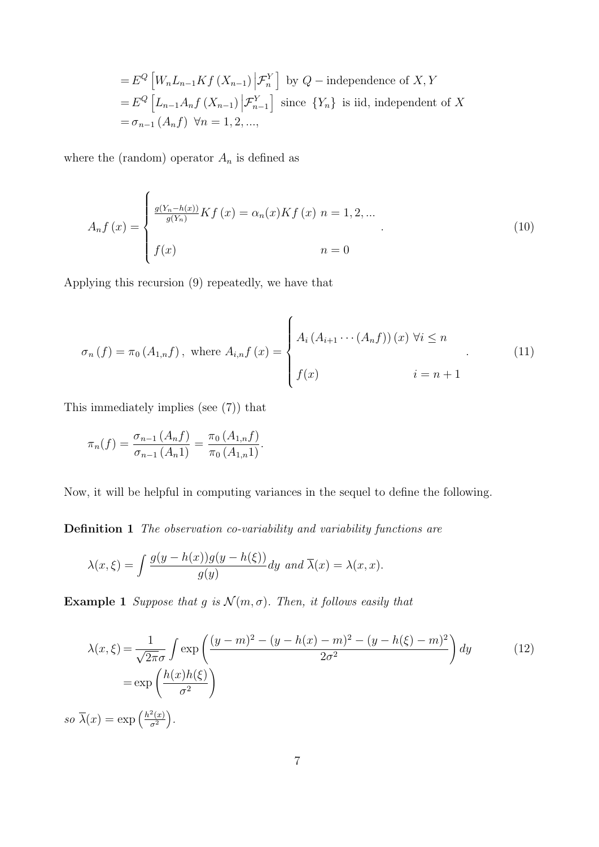$$
= E^{Q} \left[ W_{n} L_{n-1} K f \left( X_{n-1} \right) \Big| \mathcal{F}_{n}^{Y} \right] \text{ by } Q-\text{ independence of } X, Y
$$
  

$$
= E^{Q} \left[ L_{n-1} A_{n} f \left( X_{n-1} \right) \Big| \mathcal{F}_{n-1}^{Y} \right] \text{ since } \{Y_{n}\} \text{ is iid, independent of } X
$$
  

$$
= \sigma_{n-1} \left( A_{n} f \right) \ \forall n = 1, 2, ...,
$$

where the (random) operator  $\mathcal{A}_n$  is defined as

$$
A_n f(x) = \begin{cases} \frac{g(Y_n - h(x))}{g(Y_n)} K f(x) = \alpha_n(x) K f(x) & n = 1, 2, ... \\ f(x) & n = 0 \end{cases}
$$
 (10)

Applying this recursion (9) repeatedly, we have that

$$
\sigma_n(f) = \pi_0(A_{1,n}f), \text{ where } A_{i,n}f(x) = \begin{cases} A_i(A_{i+1} \cdots (A_n f))(x) \,\forall i \le n \\ f(x) \quad i = n+1 \end{cases} \tag{11}
$$

This immediately implies (see (7)) that

 $\mathfrak{so}$ 

$$
\pi_n(f) = \frac{\sigma_{n-1}(A_n f)}{\sigma_{n-1}(A_n 1)} = \frac{\pi_0(A_{1,n}f)}{\pi_0(A_{1,n} 1)}.
$$

Now, it will be helpful in computing variances in the sequel to define the following.

Definition 1 The observation co-variability and variability functions are

$$
\lambda(x,\xi) = \int \frac{g(y - h(x))g(y - h(\xi))}{g(y)} dy \text{ and } \overline{\lambda}(x) = \lambda(x,x).
$$

**Example 1** Suppose that g is  $\mathcal{N}(m, \sigma)$ . Then, it follows easily that

$$
\lambda(x,\xi) = \frac{1}{\sqrt{2\pi}\sigma} \int \exp\left(\frac{(y-m)^2 - (y-h(x)-m)^2 - (y-h(\xi)-m)^2}{2\sigma^2}\right) dy
$$
\n
$$
= \exp\left(\frac{h(x)h(\xi)}{\sigma^2}\right)
$$
\n
$$
\overline{\lambda}(x) = \exp\left(\frac{h^2(x)}{\sigma^2}\right).
$$
\n(12)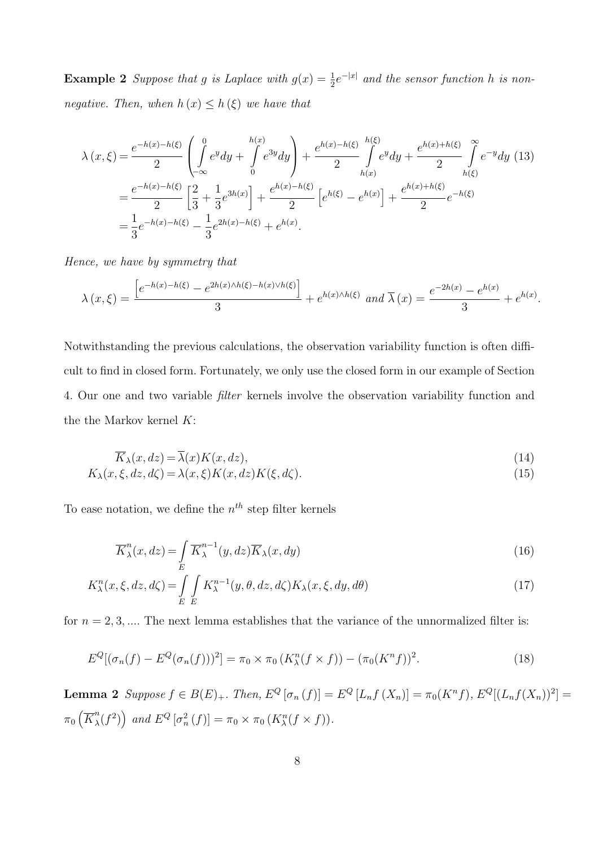**Example 2** Suppose that g is Laplace with  $g(x) = \frac{1}{2}e^{-|x|}$  and the sensor function h is nonnegative. Then, when  $h(x) \leq h(\xi)$  we have that

$$
\lambda(x,\xi) = \frac{e^{-h(x)-h(\xi)}}{2} \left( \int_{-\infty}^{0} e^{y} dy + \int_{0}^{h(x)} e^{3y} dy \right) + \frac{e^{h(x)-h(\xi)}}{2} \int_{h(x)}^{h(\xi)} e^{y} dy + \frac{e^{h(x)+h(\xi)}}{2} \int_{h(\xi)}^{\infty} e^{-y} dy \tag{13}
$$

$$
= \frac{e^{-h(x)-h(\xi)}}{2} \left[ \frac{2}{3} + \frac{1}{3} e^{3h(x)} \right] + \frac{e^{h(x)-h(\xi)}}{2} \left[ e^{h(\xi)} - e^{h(x)} \right] + \frac{e^{h(x)+h(\xi)}}{2} e^{-h(\xi)}
$$

$$
= \frac{1}{3} e^{-h(x)-h(\xi)} - \frac{1}{3} e^{2h(x)-h(\xi)} + e^{h(x)}.
$$

Hence, we have by symmetry that

$$
\lambda(x,\xi) = \frac{\left[e^{-h(x)-h(\xi)} - e^{2h(x)\wedge h(\xi) - h(x)\vee h(\xi)}\right]}{3} + e^{h(x)\wedge h(\xi)} \text{ and } \overline{\lambda}(x) = \frac{e^{-2h(x)} - e^{h(x)}}{3} + e^{h(x)}.
$$

Notwithstanding the previous calculations, the observation variability function is often difficult to find in closed form. Fortunately, we only use the closed form in our example of Section 4. Our one and two variable *filter* kernels involve the observation variability function and the the Markov kernel  $K$ :

$$
\overline{K}_{\lambda}(x, dz) = \overline{\lambda}(x)K(x, dz),\tag{14}
$$

$$
K_{\lambda}(x,\xi,dz,d\zeta) = \lambda(x,\xi)K(x,dz)K(\xi,d\zeta).
$$
\n(15)

To ease notation, we define the  $n^{th}$  step filter kernels

$$
\overline{K}_{\lambda}^{n}(x, dz) = \int\limits_{E} \overline{K}_{\lambda}^{n-1}(y, dz) \overline{K}_{\lambda}(x, dy)
$$
\n(16)

$$
K_{\lambda}^{n}(x,\xi,dz,d\zeta) = \int\limits_{E} \int\limits_{E} K_{\lambda}^{n-1}(y,\theta,dz,d\zeta) K_{\lambda}(x,\xi,dy,d\theta)
$$
\n(17)

for  $n = 2, 3, \dots$  The next lemma establishes that the variance of the unnormalized filter is:

$$
E^{Q}[(\sigma_{n}(f) - E^{Q}(\sigma_{n}(f)))^{2}] = \pi_{0} \times \pi_{0} (K_{\lambda}^{n}(f \times f)) - (\pi_{0}(K^{n}f))^{2}.
$$
\n(18)

**Lemma 2** Suppose  $f \in B(E)_{+}$ . Then,  $E^{Q} [\sigma_n(f)] = E^{Q} [L_n f(X_n)] = \pi_0(K^n f)$ ,  $E^{Q} [(L_n f(X_n))^2] =$  $\pi_0\left(\overline K_{\lambda}^n\right)$  $\mathcal{L}_{\lambda}^{n}(f^{2})$  and  $E^{Q}[\sigma_{n}^{2}(f)]=\pi_{0}\times \pi_{0}(K_{\lambda}^{n}(f\times f)).$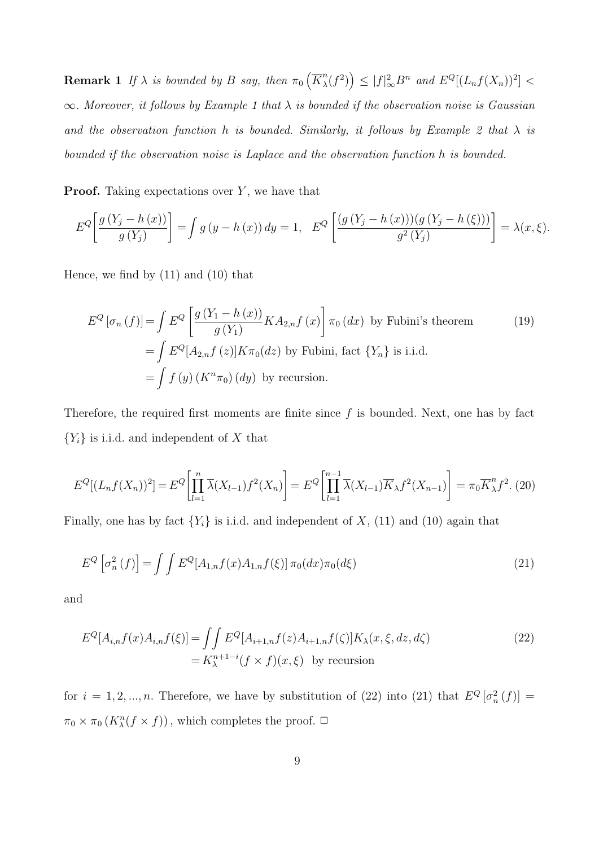**Remark 1** If  $\lambda$  is bounded by B say, then  $\pi_0\left(\overline{K}_{\lambda}^n\right)$  $\binom{n}{\lambda}(f^2)$   $\leq |f|_{\infty}^2 B^n$  and  $E^Q[(L_n f(X_n))^2]$  <  $\infty$ . Moreover, it follows by Example 1 that  $\lambda$  is bounded if the observation noise is Gaussian and the observation function h is bounded. Similarly, it follows by Example 2 that  $\lambda$  is bounded if the observation noise is Laplace and the observation function h is bounded.

**Proof.** Taking expectations over  $Y$ , we have that

$$
E^{Q}\left[\frac{g(Y_j - h(x))}{g(Y_j)}\right] = \int g\left(y - h(x)\right) dy = 1, \quad E^{Q}\left[\frac{\left(g\left(Y_j - h(x)\right)\right)\left(g\left(Y_j - h\left(\xi\right)\right)\right)}{g^2\left(Y_j\right)}\right] = \lambda(x, \xi).
$$

Hence, we find by (11) and (10) that

$$
E^{Q}[\sigma_{n}(f)] = \int E^{Q} \left[ \frac{g(Y_{1} - h(x))}{g(Y_{1})} K A_{2,n} f(x) \right] \pi_{0}(dx) \text{ by Fubini's theorem}
$$
\n
$$
= \int E^{Q}[A_{2,n} f(z)] K \pi_{0}(dz) \text{ by Fubini, fact } \{Y_{n}\} \text{ is i.i.d.}
$$
\n
$$
= \int f(y) (K^{n} \pi_{0}) (dy) \text{ by recursion.}
$$
\n(19)

Therefore, the required first moments are finite since  $f$  is bounded. Next, one has by fact  ${Y<sub>i</sub>}$  is i.i.d. and independent of X that

$$
E^{Q}[(L_{n}f(X_{n}))^{2}] = E^{Q}\left[\prod_{l=1}^{n} \overline{\lambda}(X_{l-1}) f^{2}(X_{n})\right] = E^{Q}\left[\prod_{l=1}^{n-1} \overline{\lambda}(X_{l-1}) \overline{K}_{\lambda} f^{2}(X_{n-1})\right] = \pi_{0} \overline{K}_{\lambda}^{n} f^{2}.
$$
 (20)

Finally, one has by fact  $\{Y_i\}$  is i.i.d. and independent of X, (11) and (10) again that

$$
E^{Q}\left[\sigma_{n}^{2}\left(f\right)\right] = \int\int E^{Q}[A_{1,n}f(x)A_{1,n}f(\xi)]\,\pi_{0}(dx)\pi_{0}(d\xi) \tag{21}
$$

and

$$
E^{Q}[A_{i,n}f(x)A_{i,n}f(\xi)] = \iint E^{Q}[A_{i+1,n}f(z)A_{i+1,n}f(\zeta)]K_{\lambda}(x,\xi,dz,d\zeta)
$$
  
=  $K_{\lambda}^{n+1-i}(f \times f)(x,\xi)$  by recursion (22)

for  $i = 1, 2, ..., n$ . Therefore, we have by substitution of (22) into (21) that  $E^{Q}[\sigma_n^2(f)] =$  $\pi_0 \times \pi_0 (K_\lambda^n (f \times f))$ , which completes the proof.  $\Box$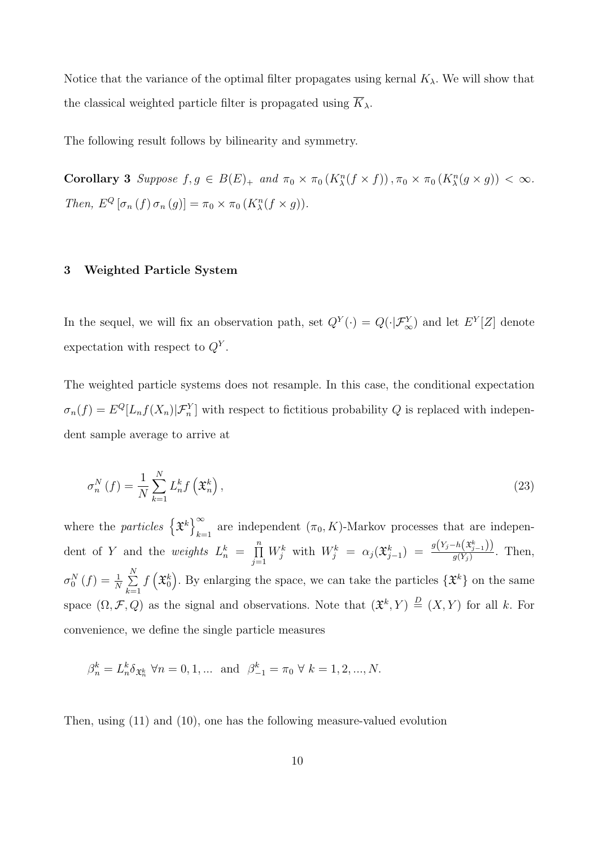Notice that the variance of the optimal filter propagates using kernal  $K_{\lambda}$ . We will show that the classical weighted particle filter is propagated using  $K_{\lambda}$ .

The following result follows by bilinearity and symmetry.

Corollary 3 Suppose  $f, g \in B(E)_{+}$  and  $\pi_0 \times \pi_0(K_{\lambda}^n(f \times f)), \pi_0 \times \pi_0(K_{\lambda}^n(g \times g)) < \infty$ . Then,  $E^Q$   $[\sigma_n(f) \sigma_n(g)] = \pi_0 \times \pi_0(K_\lambda^n(f \times g)).$ 

## 3 Weighted Particle System

In the sequel, we will fix an observation path, set  $Q^Y(\cdot) = Q(\cdot | \mathcal{F}_{\infty}^Y)$  and let  $E^Y[Z]$  denote expectation with respect to  $Q^Y$ .

The weighted particle systems does not resample. In this case, the conditional expectation  $\sigma_n(f) = E^Q[L_n f(X_n) | \mathcal{F}_n^Y]$  with respect to fictitious probability Q is replaced with independent sample average to arrive at

$$
\sigma_n^N\left(f\right) = \frac{1}{N} \sum_{k=1}^N L_n^k f\left(\mathfrak{X}_n^k\right),\tag{23}
$$

where the *particles*  $\{\mathfrak{X}^k\}$ are independent  $(\pi_0, K)$ -Markov processes that are independent of Y and the *weights*  $L_n^k = \prod_{i=1}^n$  $j=1$  $W_j^k$  with  $W_j^k = \alpha_j(\mathfrak{X}_{j-1}^k) = \frac{g(Y_j-h(\mathfrak{X}_{j-1}^k))}{g(Y_j)}$  $\frac{n(\mathbf{x}_{j-1})}{g(Y_j)}$ . Then,  $\sigma_0^N\left(f\right)=\frac{1}{N}\sum\limits_{i=1}^N$  $_{k=1}$  $f\left(\mathfrak{X}_{0}^{k}\right)$ . By enlarging the space, we can take the particles  $\{\mathfrak{X}^{k}\}$  on the same space  $(\Omega, \mathcal{F}, Q)$  as the signal and observations. Note that  $(\mathfrak{X}^k, Y) \stackrel{D}{=} (X, Y)$  for all k. For convenience, we define the single particle measures

$$
\beta_n^k = L_n^k \delta_{\mathfrak{X}_n^k} \ \forall n = 0, 1, \dots \text{ and } \ \beta_{-1}^k = \pi_0 \ \forall \ k = 1, 2, ..., N.
$$

Then, using (11) and (10), one has the following measure-valued evolution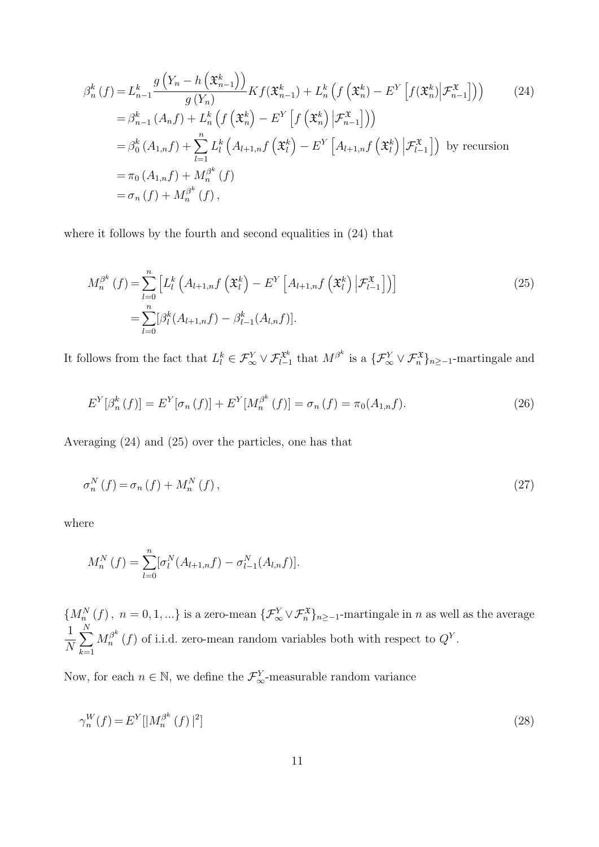$$
\beta_n^k(f) = L_{n-1}^k \frac{g\left(Y_n - h\left(\mathfrak{X}_{n-1}^k\right)\right)}{g\left(Y_n\right)} K f\left(\mathfrak{X}_{n-1}^k\right) + L_n^k \left(f\left(\mathfrak{X}_n^k\right) - E^Y \left[f\left(\mathfrak{X}_n^k\right) | \mathcal{F}_{n-1}^{\mathfrak{X}}\right]\right) \right) \tag{24}
$$
\n
$$
= \beta_{n-1}^k \left(A_n f\right) + L_n^k \left(f\left(\mathfrak{X}_n^k\right) - E^Y \left[f\left(\mathfrak{X}_n^k\right) | \mathcal{F}_{n-1}^{\mathfrak{X}}\right]\right) \right)
$$
\n
$$
= \beta_0^k \left(A_{1,n} f\right) + \sum_{l=1}^n L_l^k \left(A_{l+1,n} f\left(\mathfrak{X}_l^k\right) - E^Y \left[A_{l+1,n} f\left(\mathfrak{X}_l^k\right) | \mathcal{F}_{l-1}^{\mathfrak{X}}\right]\right) \text{ by recursion}
$$
\n
$$
= \pi_0 \left(A_{1,n} f\right) + M_n^{\beta^k} \left(f\right)
$$
\n
$$
= \sigma_n \left(f\right) + M_n^{\beta^k} \left(f\right),
$$

where it follows by the fourth and second equalities in  $(24)$  that

$$
M_n^{\beta^k}(f) = \sum_{l=0}^n \left[ L_l^k \left( A_{l+1,n} f\left( \mathfrak{X}_l^k \right) - E^Y \left[ A_{l+1,n} f\left( \mathfrak{X}_l^k \right) \big| \mathcal{F}_{l-1}^{\mathfrak{X}} \right] \right) \right]
$$
  
= 
$$
\sum_{l=0}^n [\beta_l^k (A_{l+1,n} f) - \beta_{l-1}^k (A_{l,n} f)].
$$
 (25)

It follows from the fact that  $L_l^k \in \mathcal{F}_{\infty}^Y \vee \mathcal{F}_{l-1}^{\mathfrak{X}^k}$  that  $M^{\beta^k}$  is a  $\{\mathcal{F}_{\infty}^Y \vee \mathcal{F}_{n}^{\mathfrak{X}}\}_{n \geq -1}$ -martingale and

$$
E^{Y}[\beta_{n}^{k}(f)] = E^{Y}[\sigma_{n}(f)] + E^{Y}[M_{n}^{\beta^{k}}(f)] = \sigma_{n}(f) = \pi_{0}(A_{1,n}f).
$$
\n(26)

Averaging (24) and (25) over the particles, one has that

$$
\sigma_n^N\left(f\right) = \sigma_n\left(f\right) + M_n^N\left(f\right),\tag{27}
$$

where

$$
M_n^N(f) = \sum_{l=0}^n [\sigma_l^N(A_{l+1,n}f) - \sigma_{l-1}^N(A_{l,n}f)].
$$

 ${M_n^N(f), n = 0, 1, ...}$  is a zero-mean  ${\{\mathcal{F}_\infty^Y \vee \mathcal{F}_n^{\mathfrak{X}}\}_{n \ge -1}}$ -martingale in n as well as the average 1 N  $\sum$ N  $k=1$  $M_n^{\beta^k}$  $n^{\beta^k}(f)$  of i.i.d. zero-mean random variables both with respect to  $Q^Y$ .

Now, for each  $n \in \mathbb{N}$ , we define the  $\mathcal{F}_{\infty}^Y$ -measurable random variance

$$
\gamma_n^W(f) = E^Y[|M_n^{\beta^k}(f)|^2] \tag{28}
$$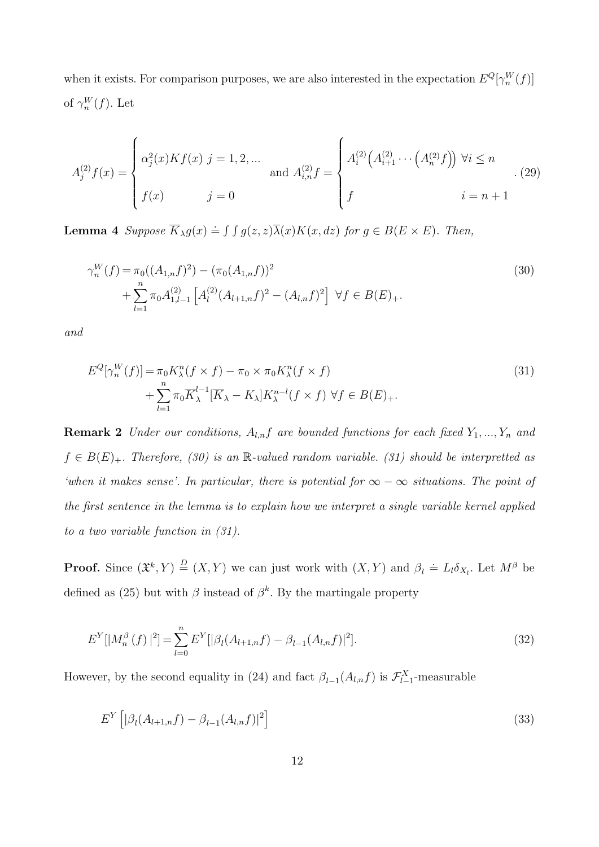when it exists. For comparison purposes, we are also interested in the expectation  $E^{Q}[\gamma_n^W(f)]$ of  $\gamma_n^W(f)$ . Let

$$
A_j^{(2)}f(x) = \begin{cases} \alpha_j^2(x)Kf(x) \ j = 1, 2, \dots \\ f(x) \qquad \qquad j = 0 \end{cases} \text{ and } A_{i,n}^{(2)}f = \begin{cases} A_i^{(2)}\left(A_{i+1}^{(2)}\cdots\left(A_n^{(2)}f\right)\right) \forall i \le n \\ f \qquad \qquad i = n+1 \end{cases}.
$$
 (29)

**Lemma 4** Suppose  $\overline{K}_{\lambda}g(x) \doteq \int \int g(z, z)\overline{\lambda}(x)K(x, dz)$  for  $g \in B(E \times E)$ . Then,

$$
\gamma_n^W(f) = \pi_0((A_{1,n}f)^2) - (\pi_0(A_{1,n}f))^2 + \sum_{l=1}^n \pi_0 A_{1,l-1}^{(2)} [A_l^{(2)}(A_{l+1,n}f)^2 - (A_{l,n}f)^2] \ \forall f \in B(E)_+.
$$
\n(30)

and

$$
E^{Q}[\gamma_{n}^{W}(f)] = \pi_{0}K_{\lambda}^{n}(f \times f) - \pi_{0} \times \pi_{0}K_{\lambda}^{n}(f \times f)
$$
  
+ 
$$
\sum_{l=1}^{n} \pi_{0}\overline{K}_{\lambda}^{l-1}[\overline{K}_{\lambda} - K_{\lambda}]K_{\lambda}^{n-l}(f \times f) \ \forall f \in B(E)_{+}.
$$
 (31)

**Remark 2** Under our conditions,  $A_{l,n}f$  are bounded functions for each fixed  $Y_1, ..., Y_n$  and  $f \in B(E)_+.$  Therefore, (30) is an R-valued random variable. (31) should be interpretted as 'when it makes sense'. In particular, there is potential for  $\infty - \infty$  situations. The point of the first sentence in the lemma is to explain how we interpret a single variable kernel applied to a two variable function in (31).

**Proof.** Since  $(\mathfrak{X}^k, Y) \stackrel{D}{=} (X, Y)$  we can just work with  $(X, Y)$  and  $\beta_l \doteq L_l \delta_{X_l}$ . Let  $M^{\beta}$  be defined as (25) but with  $\beta$  instead of  $\beta^k$ . By the martingale property

$$
E^{Y}[|M_{n}^{\beta}(f)|^{2}] = \sum_{l=0}^{n} E^{Y}[|\beta_{l}(A_{l+1,n}f) - \beta_{l-1}(A_{l,n}f)|^{2}].
$$
\n(32)

However, by the second equality in (24) and fact  $\beta_{l-1}(A_{l,n}f)$  is  $\mathcal{F}_{l-1}^X$ -measurable

$$
E^{Y}\left[|\beta_{l}(A_{l+1,n}f) - \beta_{l-1}(A_{l,n}f)|^{2}\right]
$$
\n(33)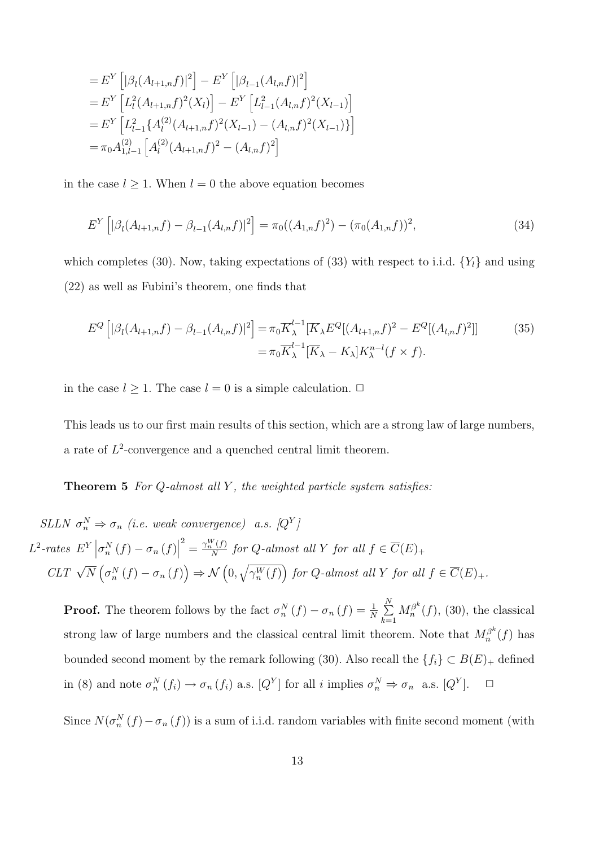$$
= E^{Y} \left[ |\beta_{l}(A_{l+1,n}f)|^{2} \right] - E^{Y} \left[ |\beta_{l-1}(A_{l,n}f)|^{2} \right]
$$
  
\n
$$
= E^{Y} \left[ L_{l}^{2}(A_{l+1,n}f)^{2}(X_{l}) \right] - E^{Y} \left[ L_{l-1}^{2}(A_{l,n}f)^{2}(X_{l-1}) \right]
$$
  
\n
$$
= E^{Y} \left[ L_{l-1}^{2} \{ A_{l}^{(2)}(A_{l+1,n}f)^{2}(X_{l-1}) - (A_{l,n}f)^{2}(X_{l-1}) \} \right]
$$
  
\n
$$
= \pi_{0} A_{1,l-1}^{(2)} \left[ A_{l}^{(2)}(A_{l+1,n}f)^{2} - (A_{l,n}f)^{2} \right]
$$

in the case  $l \geq 1$ . When  $l = 0$  the above equation becomes

$$
E^{Y}\left[|\beta_{l}(A_{l+1,n}f) - \beta_{l-1}(A_{l,n}f)|^{2}\right] = \pi_{0}((A_{1,n}f)^{2}) - (\pi_{0}(A_{1,n}f))^{2},
$$
\n(34)

which completes (30). Now, taking expectations of (33) with respect to i.i.d.  $\{Y_l\}$  and using (22) as well as Fubini's theorem, one finds that

$$
E^{Q}\left[|\beta_{l}(A_{l+1,n}f) - \beta_{l-1}(A_{l,n}f)|^{2}\right] = \pi_{0}\overline{K}_{\lambda}^{l-1}[\overline{K}_{\lambda}E^{Q}[(A_{l+1,n}f)^{2} - E^{Q}[(A_{l,n}f)^{2}]]
$$
(35)  

$$
= \pi_{0}\overline{K}_{\lambda}^{l-1}[\overline{K}_{\lambda} - K_{\lambda}]K_{\lambda}^{n-l}(f \times f).
$$

in the case  $l \geq 1$ . The case  $l = 0$  is a simple calculation.  $\Box$ 

This leads us to our first main results of this section, which are a strong law of large numbers, a rate of  $L^2$ -convergence and a quenched central limit theorem.

**Theorem 5** For  $Q$ -almost all  $Y$ , the weighted particle system satisfies:

SLLN  $\sigma_n^N \Rightarrow \sigma_n$  (i.e. weak convergence) a.s.  $[Q^Y]$  $L^2$ -rates  $E^Y\left|\sigma_n^N(f)-\sigma_n(f)\right|$  $\frac{2}{N} = \frac{\gamma_n^W(f)}{N}$  $\frac{f(f)}{N}$  for Q-almost all Y for all  $f \in \overline{C}(E)_+$  $CLT \sqrt{N} (\sigma_n^N(f) - \sigma_n(f)) \Rightarrow \mathcal{N}(0, \sqrt{\gamma_n^W(f)})$  for Q-almost all Y for all  $f \in \overline{C}(E)_+$ .

**Proof.** The theorem follows by the fact  $\sigma_n^N(f) - \sigma_n(f) = \frac{1}{N} \sum_{i=1}^N$  $k=1$  $M_n^{\beta^k}$  $n^{f^{\alpha}}(f)$ , (30), the classical strong law of large numbers and the classical central limit theorem. Note that  $M_n^{\beta^k}$  $\int_{n}^{\beta} (f)$  has bounded second moment by the remark following (30). Also recall the  $\{f_i\} \subset B(E)_+$  defined in (8) and note  $\sigma_n^N(f_i) \to \sigma_n(f_i)$  a.s.  $[Q^Y]$  for all i implies  $\sigma_n^N \Rightarrow \sigma_n$  a.s.  $[Q^Y]$  $\Box$ 

Since  $N(\sigma_n^N(f) - \sigma_n(f))$  is a sum of i.i.d. random variables with finite second moment (with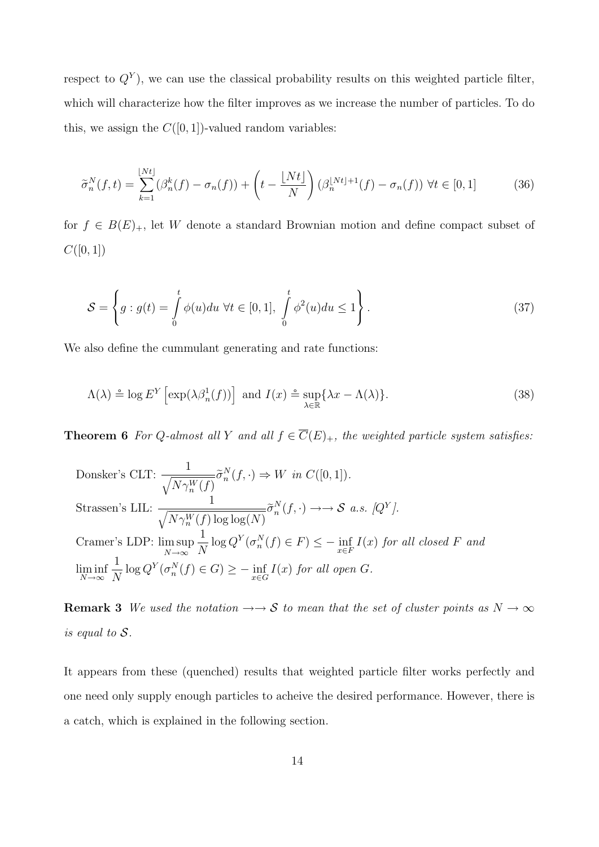respect to  $Q<sup>Y</sup>$ ), we can use the classical probability results on this weighted particle filter, which will characterize how the filter improves as we increase the number of particles. To do this, we assign the  $C([0, 1])$ -valued random variables:

$$
\widetilde{\sigma}_n^N(f,t) = \sum_{k=1}^{\lfloor Nt \rfloor} (\beta_n^k(f) - \sigma_n(f)) + \left( t - \frac{\lfloor Nt \rfloor}{N} \right) (\beta_n^{\lfloor Nt \rfloor + 1}(f) - \sigma_n(f)) \ \forall t \in [0,1]
$$
\n(36)

for  $f \in B(E)_+$ , let W denote a standard Brownian motion and define compact subset of  $C([0,1])$ 

$$
\mathcal{S} = \left\{ g : g(t) = \int_{0}^{t} \phi(u) du \ \forall t \in [0, 1], \int_{0}^{t} \phi^{2}(u) du \le 1 \right\}.
$$
 (37)

We also define the cummulant generating and rate functions:

$$
\Lambda(\lambda) \stackrel{\circ}{=} \log E^Y \left[ \exp(\lambda \beta_n^1(f)) \right] \text{ and } I(x) \stackrel{\circ}{=} \sup_{\lambda \in \mathbb{R}} \{ \lambda x - \Lambda(\lambda) \}. \tag{38}
$$

**Theorem 6** For Q-almost all Y and all  $f \in \overline{C}(E)_+$ , the weighted particle system satisfies:

Donsker's CLT: 
$$
\frac{1}{\sqrt{N\gamma_n^W(f)}} \tilde{\sigma}_n^N(f, \cdot) \Rightarrow W \text{ in } C([0,1]).
$$
  
Strassen's LLL: 
$$
\frac{1}{\sqrt{N\gamma_n^W(f) \log \log(N)}} \tilde{\sigma}_n^N(f, \cdot) \to \Rightarrow \mathcal{S} \text{ a.s. } [Q^Y].
$$
  
Cramer's LDP: 
$$
\limsup_{N \to \infty} \frac{1}{N} \log Q^Y(\sigma_n^N(f) \in F) \le - \inf_{x \in F} I(x) \text{ for all closed } F \text{ and }
$$

$$
\liminf_{N \to \infty} \frac{1}{N} \log Q^Y(\sigma_n^N(f) \in G) \ge - \inf_{x \in G} I(x) \text{ for all open } G.
$$

**Remark 3** We used the notation  $\rightarrow \rightarrow S$  to mean that the set of cluster points as  $N \rightarrow \infty$ is equal to S.

It appears from these (quenched) results that weighted particle filter works perfectly and one need only supply enough particles to acheive the desired performance. However, there is a catch, which is explained in the following section.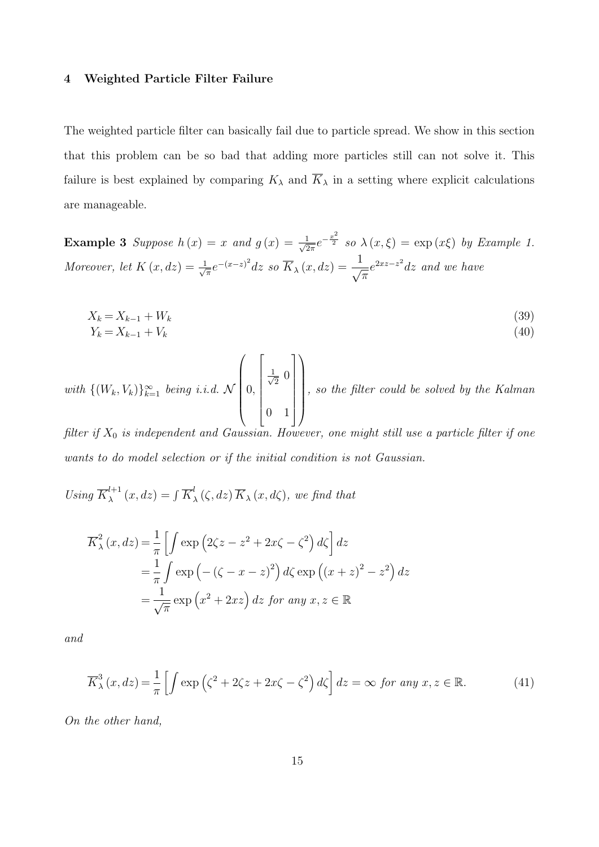#### 4 Weighted Particle Filter Failure

The weighted particle filter can basically fail due to particle spread. We show in this section that this problem can be so bad that adding more particles still can not solve it. This failure is best explained by comparing  $K_{\lambda}$  and  $\overline{K}_{\lambda}$  in a setting where explicit calculations are manageable.

**Example 3** Suppose  $h(x) = x$  and  $g(x) = \frac{1}{\sqrt{2}}$  $\frac{1}{2\pi}e^{-\frac{x^2}{2}}$  so  $\lambda(x,\xi) = \exp(x\xi)$  by Example 1. Moreover, let  $K(x, dz) = \frac{1}{\sqrt{2}}$  $\frac{1}{\sqrt{\pi}}e^{-(x-z)^2}dz$  so  $\overline{K}_{\lambda}(x,dz)=\frac{1}{\sqrt{\lambda}}$ π  $e^{2xz-z^2}$ dz and we have

$$
X_k = X_{k-1} + W_k \tag{39}
$$

$$
Y_k = X_{k-1} + V_k \tag{40}
$$

with  $\{(W_k, V_k)\}_{k=1}^{\infty}$  being i.i.d. N  $\sqrt{ }$  $\overline{\phantom{a}}$ 0,  $\sqrt{ }$  $\begin{array}{c} \begin{array}{c} \begin{array}{c} \end{array} \end{array} \end{array}$  $\frac{1}{\sqrt{2}}$  $\overline{2}$  0 0 1 1  $\setminus$  $\begin{array}{c} \hline \end{array}$ , so the filter could be solved by the Kalman

filter if  $X_0$  is independent and Gaussian. However, one might still use a particle filter if one wants to do model selection or if the initial condition is not Gaussian.

Using  $\overline{K}_{\lambda}^{l+1}$  $\lambda^{l+1}(x,dz) = \int \overline{K}_z^l$  $\int_{\lambda}^{t}(\zeta, dz)\overline{K}_{\lambda}(x, d\zeta),$  we find that

$$
\overline{K}_{\lambda}^{2}(x, dz) = \frac{1}{\pi} \left[ \int \exp\left(2\zeta z - z^{2} + 2x\zeta - \zeta^{2}\right) d\zeta \right] dz
$$
  
\n
$$
= \frac{1}{\pi} \int \exp\left(-(\zeta - x - z)^{2}\right) d\zeta \exp\left((x + z)^{2} - z^{2}\right) dz
$$
  
\n
$$
= \frac{1}{\sqrt{\pi}} \exp\left(x^{2} + 2xz\right) dz \text{ for any } x, z \in \mathbb{R}
$$

and

$$
\overline{K}_{\lambda}^{3}(x, dz) = \frac{1}{\pi} \left[ \int \exp\left(\zeta^{2} + 2\zeta z + 2x\zeta - \zeta^{2}\right) d\zeta \right] dz = \infty \text{ for any } x, z \in \mathbb{R}.
$$
 (41)

On the other hand,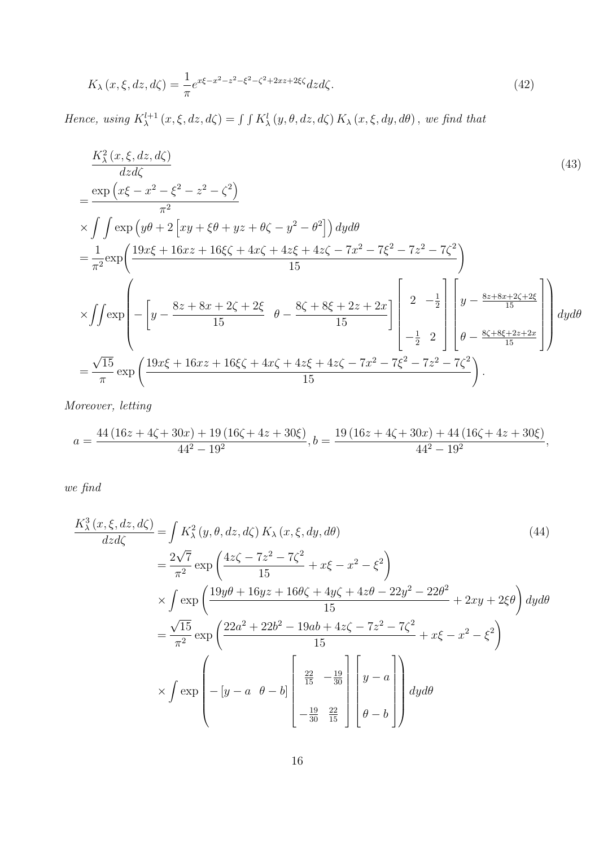$$
K_{\lambda}(x,\xi,dz,d\zeta) = \frac{1}{\pi}e^{x\xi - x^2 - z^2 - \xi^2 - \zeta^2 + 2xz + 2\xi\zeta}dzd\zeta.
$$
 (42)

Hence, using  $K_{\lambda}^{l+1}(x,\xi,dz,d\zeta) = \int \int K_{\lambda}^{l}(y,\theta,dz,d\zeta) K_{\lambda}(x,\xi,dy,d\theta)$ , we find that

$$
\frac{K_{\lambda}^{2}(x,\xi,dz,d\zeta)}{dz d\zeta}
$$
\n
$$
= \frac{\exp(x\xi - x^{2} - \xi^{2} - z^{2} - \zeta^{2})}{\pi^{2}}
$$
\n
$$
\times \int \int \exp(y\theta + 2\left[xy + \xi\theta + yz + \theta\zeta - y^{2} - \theta^{2}\right]dy d\theta
$$
\n
$$
= \frac{1}{\pi^{2}} \exp\left(\frac{19x\xi + 16xz + 16\xi\zeta + 4x\zeta + 4z\xi + 4z\zeta - 7x^{2} - 7\xi^{2} - 7z^{2} - 7\zeta^{2}}{15}\right)
$$
\n
$$
\times \int \int \exp\left(-\left[y - \frac{8z + 8x + 2\zeta + 2\xi}{15} \theta - \frac{8\zeta + 8\xi + 2z + 2x}{15}\right]\left[2 - \frac{1}{2}\right] \left[y - \frac{8z + 8x + 2\zeta + 2\xi}{15}\right]dy d\theta
$$
\n
$$
= \frac{\sqrt{15}}{\pi} \exp\left(\frac{19x\xi + 16xz + 16\xi\zeta + 4x\zeta + 4z\xi + 4z\zeta - 7x^{2} - 7\xi^{2} - 7z^{2} - 7\zeta^{2}}{15}\right).
$$
\n(43)

Moreover, letting

$$
a = \frac{44 (16 z + 4 \zeta + 30 x) + 19 (16 \zeta + 4 z + 30 \xi)}{44^2 - 19^2}, b = \frac{19 (16 z + 4 \zeta + 30 x) + 44 (16 \zeta + 4 z + 30 \xi)}{44^2 - 19^2},
$$

we find

$$
\frac{K_{\lambda}^{3}(x,\xi,dz,d\zeta)}{dzd\zeta} = \int K_{\lambda}^{2}(y,\theta,dz,d\zeta) K_{\lambda}(x,\xi,dy,d\theta)
$$
(44)  

$$
= \frac{2\sqrt{7}}{\pi^{2}} \exp\left(\frac{4z\zeta - 7z^{2} - 7\zeta^{2}}{15} + x\xi - x^{2} - \xi^{2}\right)
$$

$$
\times \int \exp\left(\frac{19y\theta + 16yz + 16\theta\zeta + 4y\zeta + 4z\theta - 22y^{2} - 22\theta^{2}}{15} + 2xy + 2\xi\theta\right) dy d\theta
$$

$$
= \frac{\sqrt{15}}{\pi^{2}} \exp\left(\frac{22a^{2} + 22b^{2} - 19ab + 4z\zeta - 7z^{2} - 7\zeta^{2}}{15} + x\xi - x^{2} - \xi^{2}\right)
$$

$$
\times \int \exp\left(-[y - a \theta - b]\begin{bmatrix} \frac{22}{15} & -\frac{19}{30} \\ -\frac{19}{30} & \frac{22}{15} \end{bmatrix} \begin{bmatrix} y - a \\ \theta - b \end{bmatrix}\right) dy d\theta
$$
(44)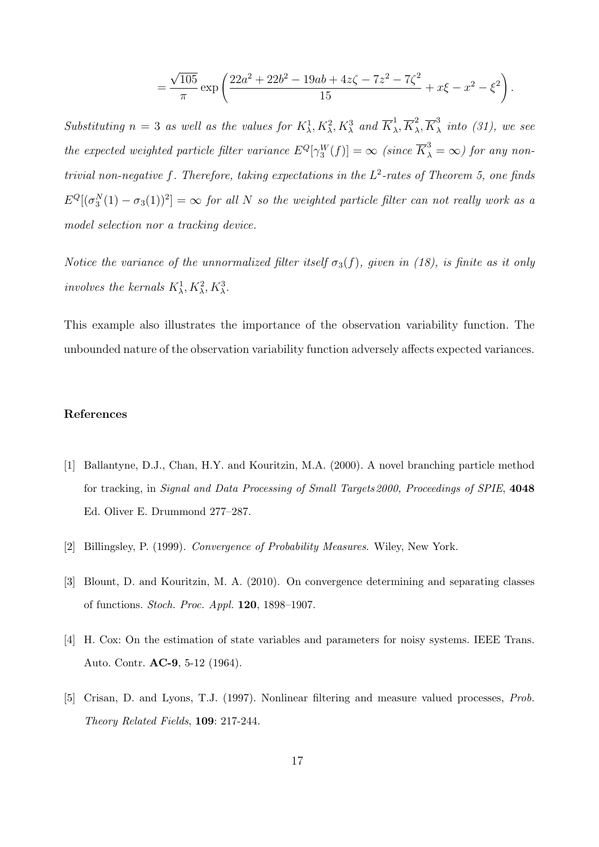$$
=\frac{\sqrt{105}}{\pi}\exp\left(\frac{22a^2+22b^2-19ab+4z\zeta-7z^2-7\zeta^2}{15}+x\xi-x^2-\xi^2\right).
$$

Substituting  $n = 3$  as well as the values for  $K^1_\lambda, K^2_\lambda, K^3_\lambda$  and  $\overline{K}^1_\lambda$  $\frac{1}{\lambda}, \overline{K}_{\lambda}^2$  $^2_\lambda, \overline{K}^3_\lambda$  $\frac{3}{\lambda}$  into (31), we see the expected weighted particle filter variance  $E^Q[\gamma_3^W(f)] = \infty$  (since  $\overline{K}_{\lambda}^3 = \infty$ ) for any nontrivial non-negative f. Therefore, taking expectations in the  $L^2$ -rates of Theorem 5, one finds  $E^Q[(\sigma^N_3(1) - \sigma_3(1))^2] = \infty$  for all N so the weighted particle filter can not really work as a model selection nor a tracking device.

Notice the variance of the unnormalized filter itself  $\sigma_3(f)$ , given in (18), is finite as it only involves the kernals  $K^1_\lambda, K^2_\lambda, K^3_\lambda$ .

This example also illustrates the importance of the observation variability function. The unbounded nature of the observation variability function adversely affects expected variances.

### References

- [1] Ballantyne, D.J., Chan, H.Y. and Kouritzin, M.A. (2000). A novel branching particle method for tracking, in Signal and Data Processing of Small Targets 2000, Proceedings of SPIE, 4048 Ed. Oliver E. Drummond 277–287.
- [2] Billingsley, P. (1999). Convergence of Probability Measures. Wiley, New York.
- [3] Blount, D. and Kouritzin, M. A. (2010). On convergence determining and separating classes of functions. Stoch. Proc. Appl. 120, 1898–1907.
- [4] H. Cox: On the estimation of state variables and parameters for noisy systems. IEEE Trans. Auto. Contr. AC-9, 5-12 (1964).
- [5] Crisan, D. and Lyons, T.J. (1997). Nonlinear filtering and measure valued processes, Prob. Theory Related Fields, 109: 217-244.